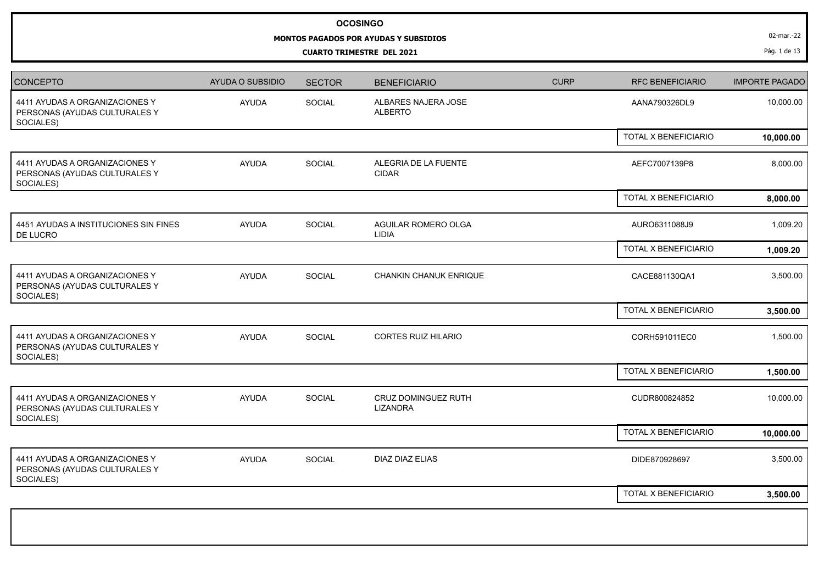## **OCOSINGO**

## **MONTOS PAGADOS POR AYUDAS Y SUBSIDIOS**

**CUARTO TRIMESTRE DEL 2021**

02-mar.-22

Pág. 1 de 13

| CONCEPTO                                                                     | AYUDA O SUBSIDIO | <b>SECTOR</b> | <b>BENEFICIARIO</b>                    | <b>CURP</b> | RFC BENEFICIARIO     | <b>IMPORTE PAGADO</b> |
|------------------------------------------------------------------------------|------------------|---------------|----------------------------------------|-------------|----------------------|-----------------------|
| 4411 AYUDAS A ORGANIZACIONES Y<br>PERSONAS (AYUDAS CULTURALES Y<br>SOCIALES) | <b>AYUDA</b>     | SOCIAL        | ALBARES NAJERA JOSE<br><b>ALBERTO</b>  |             | AANA790326DL9        | 10,000.00             |
|                                                                              |                  |               |                                        |             | TOTAL X BENEFICIARIO | 10,000.00             |
| 4411 AYUDAS A ORGANIZACIONES Y<br>PERSONAS (AYUDAS CULTURALES Y<br>SOCIALES) | <b>AYUDA</b>     | SOCIAL        | ALEGRIA DE LA FUENTE<br><b>CIDAR</b>   |             | AEFC7007139P8        | 8,000.00              |
|                                                                              |                  |               |                                        |             | TOTAL X BENEFICIARIO | 8,000.00              |
| 4451 AYUDAS A INSTITUCIONES SIN FINES<br>DE LUCRO                            | <b>AYUDA</b>     | SOCIAL        | AGUILAR ROMERO OLGA<br>LIDIA           |             | AURO6311088J9        | 1,009.20              |
|                                                                              |                  |               |                                        |             | TOTAL X BENEFICIARIO | 1,009.20              |
| 4411 AYUDAS A ORGANIZACIONES Y<br>PERSONAS (AYUDAS CULTURALES Y<br>SOCIALES) | <b>AYUDA</b>     | SOCIAL        | CHANKIN CHANUK ENRIQUE                 |             | CACE881130QA1        | 3,500.00              |
|                                                                              |                  |               |                                        |             | TOTAL X BENEFICIARIO | 3,500.00              |
| 4411 AYUDAS A ORGANIZACIONES Y<br>PERSONAS (AYUDAS CULTURALES Y<br>SOCIALES) | <b>AYUDA</b>     | <b>SOCIAL</b> | CORTES RUIZ HILARIO                    |             | CORH591011EC0        | 1,500.00              |
|                                                                              |                  |               |                                        |             | TOTAL X BENEFICIARIO | 1,500.00              |
| 4411 AYUDAS A ORGANIZACIONES Y<br>PERSONAS (AYUDAS CULTURALES Y<br>SOCIALES) | <b>AYUDA</b>     | SOCIAL        | CRUZ DOMINGUEZ RUTH<br><b>LIZANDRA</b> |             | CUDR800824852        | 10,000.00             |
|                                                                              |                  |               |                                        |             | TOTAL X BENEFICIARIO | 10,000.00             |
| 4411 AYUDAS A ORGANIZACIONES Y<br>PERSONAS (AYUDAS CULTURALES Y<br>SOCIALES) | <b>AYUDA</b>     | SOCIAL        | DIAZ DIAZ ELIAS                        |             | DIDE870928697        | 3,500.00              |
|                                                                              |                  |               |                                        |             | TOTAL X BENEFICIARIO | 3,500.00              |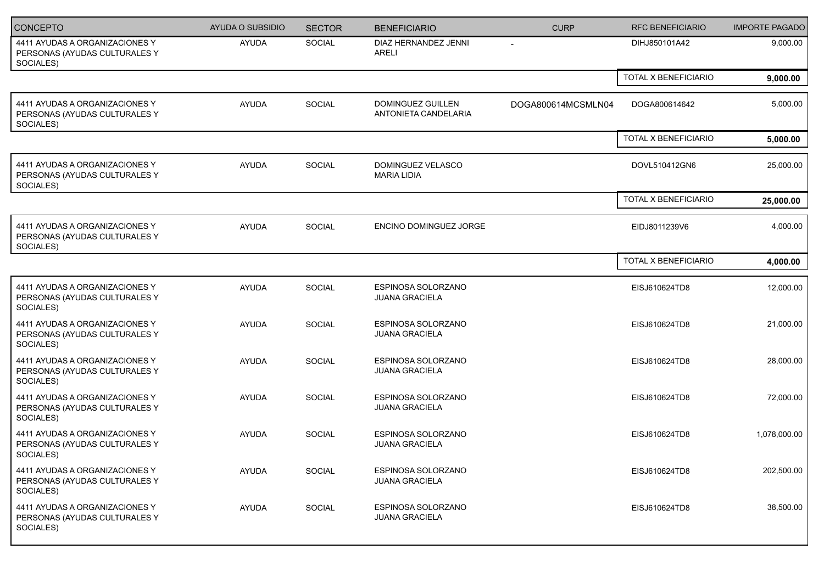| <b>CONCEPTO</b>                                                              | AYUDA O SUBSIDIO | <b>SECTOR</b> | <b>BENEFICIARIO</b>                                | <b>CURP</b>              | <b>RFC BENEFICIARIO</b> | <b>IMPORTE PAGADO</b> |
|------------------------------------------------------------------------------|------------------|---------------|----------------------------------------------------|--------------------------|-------------------------|-----------------------|
| 4411 AYUDAS A ORGANIZACIONES Y<br>PERSONAS (AYUDAS CULTURALES Y<br>SOCIALES) | AYUDA            | <b>SOCIAL</b> | DIAZ HERNANDEZ JENNI<br>ARELI                      | $\overline{\phantom{a}}$ | DIHJ850101A42           | 9,000.00              |
|                                                                              |                  |               |                                                    |                          | TOTAL X BENEFICIARIO    | 9,000.00              |
| 4411 AYUDAS A ORGANIZACIONES Y<br>PERSONAS (AYUDAS CULTURALES Y<br>SOCIALES) | <b>AYUDA</b>     | SOCIAL        | <b>DOMINGUEZ GUILLEN</b><br>ANTONIETA CANDELARIA   | DOGA800614MCSMLN04       | DOGA800614642           | 5,000.00              |
|                                                                              |                  |               |                                                    |                          | TOTAL X BENEFICIARIO    | 5,000.00              |
| 4411 AYUDAS A ORGANIZACIONES Y<br>PERSONAS (AYUDAS CULTURALES Y<br>SOCIALES) | <b>AYUDA</b>     | SOCIAL        | DOMINGUEZ VELASCO<br><b>MARIA LIDIA</b>            |                          | DOVL510412GN6           | 25,000.00             |
|                                                                              |                  |               |                                                    |                          | TOTAL X BENEFICIARIO    | 25,000.00             |
| 4411 AYUDAS A ORGANIZACIONES Y<br>PERSONAS (AYUDAS CULTURALES Y<br>SOCIALES) | <b>AYUDA</b>     | SOCIAL        | ENCINO DOMINGUEZ JORGE                             |                          | EIDJ8011239V6           | 4,000.00              |
|                                                                              |                  |               |                                                    |                          | TOTAL X BENEFICIARIO    | 4,000.00              |
| 4411 AYUDAS A ORGANIZACIONES Y<br>PERSONAS (AYUDAS CULTURALES Y<br>SOCIALES) | <b>AYUDA</b>     | SOCIAL        | ESPINOSA SOLORZANO<br><b>JUANA GRACIELA</b>        |                          | EISJ610624TD8           | 12,000.00             |
| 4411 AYUDAS A ORGANIZACIONES Y<br>PERSONAS (AYUDAS CULTURALES Y<br>SOCIALES) | <b>AYUDA</b>     | SOCIAL        | ESPINOSA SOLORZANO<br><b>JUANA GRACIELA</b>        |                          | EISJ610624TD8           | 21,000.00             |
| 4411 AYUDAS A ORGANIZACIONES Y<br>PERSONAS (AYUDAS CULTURALES Y<br>SOCIALES) | <b>AYUDA</b>     | SOCIAL        | <b>ESPINOSA SOLORZANO</b><br><b>JUANA GRACIELA</b> |                          | EISJ610624TD8           | 28,000.00             |
| 4411 AYUDAS A ORGANIZACIONES Y<br>PERSONAS (AYUDAS CULTURALES Y<br>SOCIALES) | <b>AYUDA</b>     | <b>SOCIAL</b> | ESPINOSA SOLORZANO<br><b>JUANA GRACIELA</b>        |                          | EISJ610624TD8           | 72,000.00             |
| 4411 AYUDAS A ORGANIZACIONES Y<br>PERSONAS (AYUDAS CULTURALES Y<br>SOCIALES) | <b>AYUDA</b>     | <b>SOCIAL</b> | ESPINOSA SOLORZANO<br><b>JUANA GRACIELA</b>        |                          | EISJ610624TD8           | 1,078,000.00          |
| 4411 AYUDAS A ORGANIZACIONES Y<br>PERSONAS (AYUDAS CULTURALES Y<br>SOCIALES) | <b>AYUDA</b>     | SOCIAL        | ESPINOSA SOLORZANO<br><b>JUANA GRACIELA</b>        |                          | EISJ610624TD8           | 202,500.00            |
| 4411 AYUDAS A ORGANIZACIONES Y<br>PERSONAS (AYUDAS CULTURALES Y<br>SOCIALES) | AYUDA            | SOCIAL        | <b>ESPINOSA SOLORZANO</b><br><b>JUANA GRACIELA</b> |                          | EISJ610624TD8           | 38,500.00             |
|                                                                              |                  |               |                                                    |                          |                         |                       |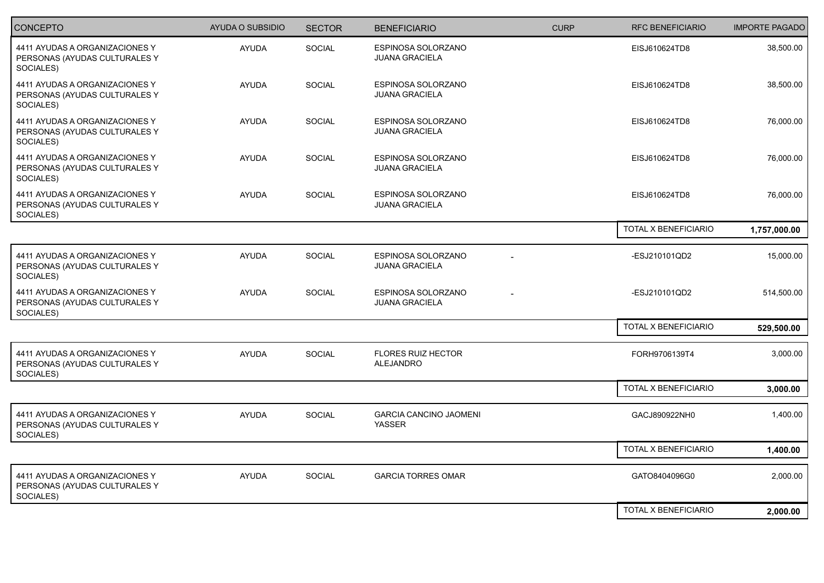| <b>CONCEPTO</b>                                                              | <b>AYUDA O SUBSIDIO</b> | <b>SECTOR</b> | <b>BENEFICIARIO</b>                         | <b>CURP</b> | <b>RFC BENEFICIARIO</b>     | <b>IMPORTE PAGADO</b> |
|------------------------------------------------------------------------------|-------------------------|---------------|---------------------------------------------|-------------|-----------------------------|-----------------------|
| 4411 AYUDAS A ORGANIZACIONES Y<br>PERSONAS (AYUDAS CULTURALES Y<br>SOCIALES) | <b>AYUDA</b>            | <b>SOCIAL</b> | ESPINOSA SOLORZANO<br><b>JUANA GRACIELA</b> |             | EISJ610624TD8               | 38,500.00             |
| 4411 AYUDAS A ORGANIZACIONES Y<br>PERSONAS (AYUDAS CULTURALES Y<br>SOCIALES) | <b>AYUDA</b>            | <b>SOCIAL</b> | ESPINOSA SOLORZANO<br><b>JUANA GRACIELA</b> |             | EISJ610624TD8               | 38,500.00             |
| 4411 AYUDAS A ORGANIZACIONES Y<br>PERSONAS (AYUDAS CULTURALES Y<br>SOCIALES) | <b>AYUDA</b>            | <b>SOCIAL</b> | ESPINOSA SOLORZANO<br><b>JUANA GRACIELA</b> |             | EISJ610624TD8               | 76,000.00             |
| 4411 AYUDAS A ORGANIZACIONES Y<br>PERSONAS (AYUDAS CULTURALES Y<br>SOCIALES) | <b>AYUDA</b>            | SOCIAL        | ESPINOSA SOLORZANO<br><b>JUANA GRACIELA</b> |             | EISJ610624TD8               | 76,000.00             |
| 4411 AYUDAS A ORGANIZACIONES Y<br>PERSONAS (AYUDAS CULTURALES Y<br>SOCIALES) | AYUDA                   | <b>SOCIAL</b> | ESPINOSA SOLORZANO<br><b>JUANA GRACIELA</b> |             | EISJ610624TD8               | 76,000.00             |
|                                                                              |                         |               |                                             |             | TOTAL X BENEFICIARIO        | 1,757,000.00          |
| 4411 AYUDAS A ORGANIZACIONES Y<br>PERSONAS (AYUDAS CULTURALES Y<br>SOCIALES) | <b>AYUDA</b>            | <b>SOCIAL</b> | ESPINOSA SOLORZANO<br><b>JUANA GRACIELA</b> |             | -ESJ210101QD2               | 15,000.00             |
| 4411 AYUDAS A ORGANIZACIONES Y<br>PERSONAS (AYUDAS CULTURALES Y<br>SOCIALES) | <b>AYUDA</b>            | <b>SOCIAL</b> | ESPINOSA SOLORZANO<br><b>JUANA GRACIELA</b> |             | -ESJ210101QD2               | 514,500.00            |
|                                                                              |                         |               |                                             |             | TOTAL X BENEFICIARIO        | 529,500.00            |
| 4411 AYUDAS A ORGANIZACIONES Y<br>PERSONAS (AYUDAS CULTURALES Y<br>SOCIALES) | <b>AYUDA</b>            | SOCIAL        | <b>FLORES RUIZ HECTOR</b><br>ALEJANDRO      |             | FORH9706139T4               | 3,000.00              |
|                                                                              |                         |               |                                             |             | <b>TOTAL X BENEFICIARIO</b> | 3,000.00              |
| 4411 AYUDAS A ORGANIZACIONES Y<br>PERSONAS (AYUDAS CULTURALES Y<br>SOCIALES) | <b>AYUDA</b>            | <b>SOCIAL</b> | <b>GARCIA CANCINO JAOMENI</b><br>YASSER     |             | GACJ890922NH0               | 1,400.00              |
|                                                                              |                         |               |                                             |             | TOTAL X BENEFICIARIO        | 1,400.00              |
| 4411 AYUDAS A ORGANIZACIONES Y<br>PERSONAS (AYUDAS CULTURALES Y<br>SOCIALES) | <b>AYUDA</b>            | <b>SOCIAL</b> | <b>GARCIA TORRES OMAR</b>                   |             | GATO8404096G0               | 2,000.00              |
|                                                                              |                         |               |                                             |             | TOTAL X BENEFICIARIO        | 2,000.00              |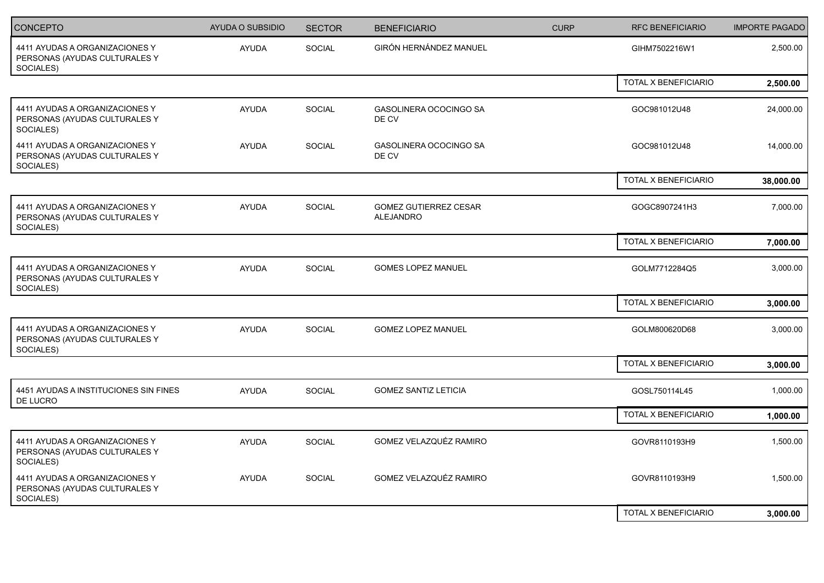| <b>CONCEPTO</b>                                                              | <b>AYUDA O SUBSIDIO</b> | <b>SECTOR</b> | <b>BENEFICIARIO</b>                       | <b>CURP</b> | <b>RFC BENEFICIARIO</b>     | <b>IMPORTE PAGADO</b> |
|------------------------------------------------------------------------------|-------------------------|---------------|-------------------------------------------|-------------|-----------------------------|-----------------------|
| 4411 AYUDAS A ORGANIZACIONES Y<br>PERSONAS (AYUDAS CULTURALES Y<br>SOCIALES) | <b>AYUDA</b>            | <b>SOCIAL</b> | GIRÓN HERNÁNDEZ MANUEL                    |             | GIHM7502216W1               | 2,500.00              |
|                                                                              |                         |               |                                           |             | <b>TOTAL X BENEFICIARIO</b> | 2,500.00              |
| 4411 AYUDAS A ORGANIZACIONES Y<br>PERSONAS (AYUDAS CULTURALES Y<br>SOCIALES) | <b>AYUDA</b>            | SOCIAL        | GASOLINERA OCOCINGO SA<br>DE CV           |             | GOC981012U48                | 24,000.00             |
| 4411 AYUDAS A ORGANIZACIONES Y<br>PERSONAS (AYUDAS CULTURALES Y<br>SOCIALES) | <b>AYUDA</b>            | <b>SOCIAL</b> | GASOLINERA OCOCINGO SA<br>DE CV           |             | GOC981012U48                | 14,000.00             |
|                                                                              |                         |               |                                           |             | TOTAL X BENEFICIARIO        | 38,000.00             |
| 4411 AYUDAS A ORGANIZACIONES Y<br>PERSONAS (AYUDAS CULTURALES Y<br>SOCIALES) | <b>AYUDA</b>            | SOCIAL        | <b>GOMEZ GUTIERREZ CESAR</b><br>ALEJANDRO |             | GOGC8907241H3               | 7,000.00              |
|                                                                              |                         |               |                                           |             | TOTAL X BENEFICIARIO        | 7,000.00              |
| 4411 AYUDAS A ORGANIZACIONES Y<br>PERSONAS (AYUDAS CULTURALES Y<br>SOCIALES) | <b>AYUDA</b>            | <b>SOCIAL</b> | GOMES LOPEZ MANUEL                        |             | GOLM7712284Q5               | 3,000.00              |
|                                                                              |                         |               |                                           |             | TOTAL X BENEFICIARIO        | 3,000.00              |
| 4411 AYUDAS A ORGANIZACIONES Y<br>PERSONAS (AYUDAS CULTURALES Y<br>SOCIALES) | <b>AYUDA</b>            | <b>SOCIAL</b> | <b>GOMEZ LOPEZ MANUEL</b>                 |             | GOLM800620D68               | 3,000.00              |
|                                                                              |                         |               |                                           |             | TOTAL X BENEFICIARIO        | 3,000.00              |
| 4451 AYUDAS A INSTITUCIONES SIN FINES<br>DE LUCRO                            | <b>AYUDA</b>            | <b>SOCIAL</b> | <b>GOMEZ SANTIZ LETICIA</b>               |             | GOSL750114L45               | 1,000.00              |
|                                                                              |                         |               |                                           |             | TOTAL X BENEFICIARIO        | 1,000.00              |
| 4411 AYUDAS A ORGANIZACIONES Y<br>PERSONAS (AYUDAS CULTURALES Y<br>SOCIALES) | <b>AYUDA</b>            | <b>SOCIAL</b> | GOMEZ VELAZQUÉZ RAMIRO                    |             | GOVR8110193H9               | 1,500.00              |
| 4411 AYUDAS A ORGANIZACIONES Y<br>PERSONAS (AYUDAS CULTURALES Y<br>SOCIALES) | <b>AYUDA</b>            | <b>SOCIAL</b> | GOMEZ VELAZQUÉZ RAMIRO                    |             | GOVR8110193H9               | 1,500.00              |
|                                                                              |                         |               |                                           |             | TOTAL X BENEFICIARIO        | 3,000.00              |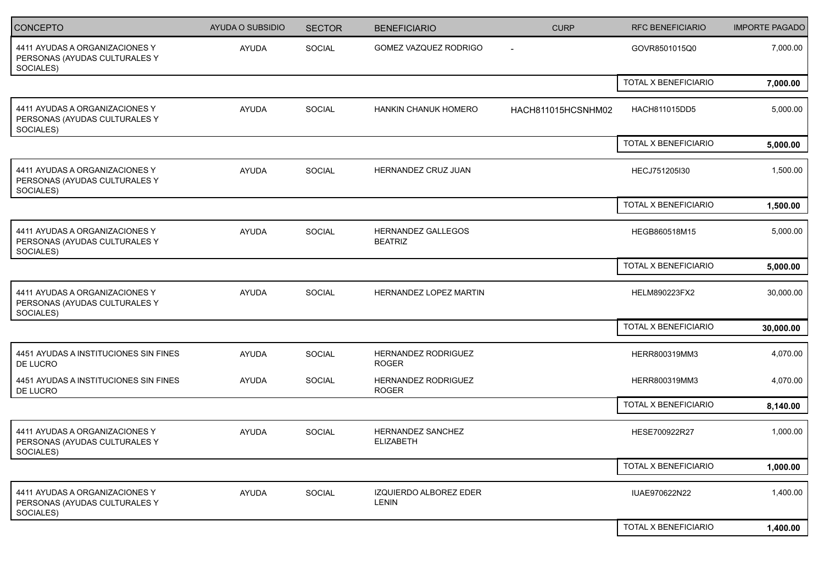| CONCEPTO                                                                     | <b>AYUDA O SUBSIDIO</b> | <b>SECTOR</b> | <b>BENEFICIARIO</b>                          | <b>CURP</b>              | <b>RFC BENEFICIARIO</b> | <b>IMPORTE PAGADO</b> |
|------------------------------------------------------------------------------|-------------------------|---------------|----------------------------------------------|--------------------------|-------------------------|-----------------------|
| 4411 AYUDAS A ORGANIZACIONES Y<br>PERSONAS (AYUDAS CULTURALES Y<br>SOCIALES) | AYUDA                   | SOCIAL        | GOMEZ VAZQUEZ RODRIGO                        | $\overline{\phantom{a}}$ | GOVR8501015Q0           | 7,000.00              |
|                                                                              |                         |               |                                              |                          | TOTAL X BENEFICIARIO    | 7,000.00              |
| 4411 AYUDAS A ORGANIZACIONES Y<br>PERSONAS (AYUDAS CULTURALES Y<br>SOCIALES) | <b>AYUDA</b>            | SOCIAL        | HANKIN CHANUK HOMERO                         | HACH811015HCSNHM02       | HACH811015DD5           | 5,000.00              |
|                                                                              |                         |               |                                              |                          | TOTAL X BENEFICIARIO    | 5,000.00              |
| 4411 AYUDAS A ORGANIZACIONES Y<br>PERSONAS (AYUDAS CULTURALES Y<br>SOCIALES) | <b>AYUDA</b>            | SOCIAL        | HERNANDEZ CRUZ JUAN                          |                          | HECJ751205I30           | 1,500.00              |
|                                                                              |                         |               |                                              |                          | TOTAL X BENEFICIARIO    | 1,500.00              |
| 4411 AYUDAS A ORGANIZACIONES Y<br>PERSONAS (AYUDAS CULTURALES Y<br>SOCIALES) | <b>AYUDA</b>            | SOCIAL        | <b>HERNANDEZ GALLEGOS</b><br><b>BEATRIZ</b>  |                          | HEGB860518M15           | 5,000.00              |
|                                                                              |                         |               |                                              |                          | TOTAL X BENEFICIARIO    | 5,000.00              |
| 4411 AYUDAS A ORGANIZACIONES Y<br>PERSONAS (AYUDAS CULTURALES Y<br>SOCIALES) | <b>AYUDA</b>            | <b>SOCIAL</b> | HERNANDEZ LOPEZ MARTIN                       |                          | HELM890223FX2           | 30,000.00             |
|                                                                              |                         |               |                                              |                          | TOTAL X BENEFICIARIO    | 30,000.00             |
| 4451 AYUDAS A INSTITUCIONES SIN FINES<br>DE LUCRO                            | AYUDA                   | SOCIAL        | HERNANDEZ RODRIGUEZ<br><b>ROGER</b>          |                          | HERR800319MM3           | 4,070.00              |
| 4451 AYUDAS A INSTITUCIONES SIN FINES<br>DE LUCRO                            | <b>AYUDA</b>            | SOCIAL        | HERNANDEZ RODRIGUEZ<br><b>ROGER</b>          |                          | HERR800319MM3           | 4,070.00              |
|                                                                              |                         |               |                                              |                          | TOTAL X BENEFICIARIO    | 8,140.00              |
| 4411 AYUDAS A ORGANIZACIONES Y<br>PERSONAS (AYUDAS CULTURALES Y<br>SOCIALES) | <b>AYUDA</b>            | SOCIAL        | <b>HERNANDEZ SANCHEZ</b><br><b>ELIZABETH</b> |                          | HESE700922R27           | 1,000.00              |
|                                                                              |                         |               |                                              |                          | TOTAL X BENEFICIARIO    | 1,000.00              |
| 4411 AYUDAS A ORGANIZACIONES Y<br>PERSONAS (AYUDAS CULTURALES Y<br>SOCIALES) | AYUDA                   | SOCIAL        | IZQUIERDO ALBOREZ EDER<br>LENIN              |                          | IUAE970622N22           | 1,400.00              |
|                                                                              |                         |               |                                              |                          | TOTAL X BENEFICIARIO    | 1,400.00              |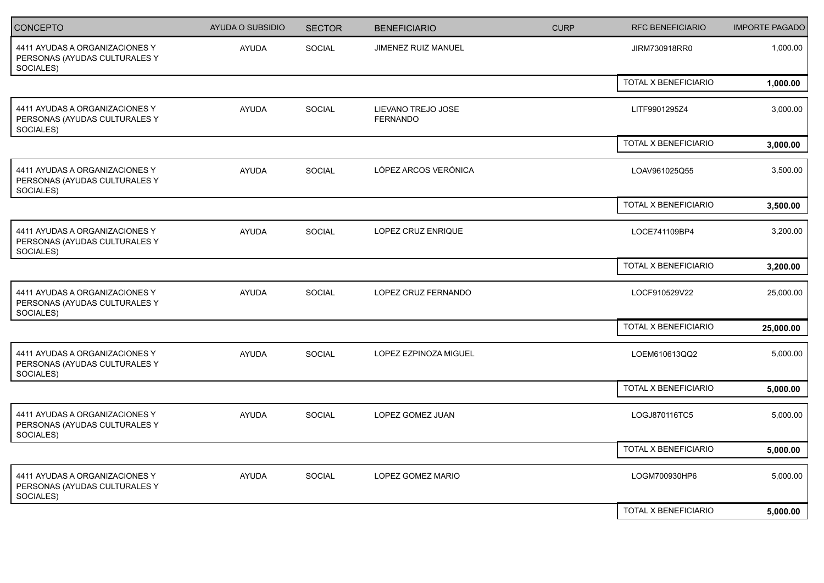| <b>CONCEPTO</b>                                                              | <b>AYUDA O SUBSIDIO</b> | <b>SECTOR</b> | <b>BENEFICIARIO</b>                   | <b>CURP</b> | <b>RFC BENEFICIARIO</b> | <b>IMPORTE PAGADO</b> |
|------------------------------------------------------------------------------|-------------------------|---------------|---------------------------------------|-------------|-------------------------|-----------------------|
| 4411 AYUDAS A ORGANIZACIONES Y<br>PERSONAS (AYUDAS CULTURALES Y<br>SOCIALES) | <b>AYUDA</b>            | SOCIAL        | JIMENEZ RUIZ MANUEL                   |             | JIRM730918RR0           | 1,000.00              |
|                                                                              |                         |               |                                       |             | TOTAL X BENEFICIARIO    | 1,000.00              |
| 4411 AYUDAS A ORGANIZACIONES Y<br>PERSONAS (AYUDAS CULTURALES Y<br>SOCIALES) | <b>AYUDA</b>            | SOCIAL        | LIEVANO TREJO JOSE<br><b>FERNANDO</b> |             | LITF9901295Z4           | 3,000.00              |
|                                                                              |                         |               |                                       |             | TOTAL X BENEFICIARIO    | 3,000.00              |
| 4411 AYUDAS A ORGANIZACIONES Y<br>PERSONAS (AYUDAS CULTURALES Y<br>SOCIALES) | AYUDA                   | <b>SOCIAL</b> | LÓPEZ ARCOS VERÓNICA                  |             | LOAV961025Q55           | 3,500.00              |
|                                                                              |                         |               |                                       |             | TOTAL X BENEFICIARIO    | 3,500.00              |
| 4411 AYUDAS A ORGANIZACIONES Y<br>PERSONAS (AYUDAS CULTURALES Y<br>SOCIALES) | <b>AYUDA</b>            | SOCIAL        | LOPEZ CRUZ ENRIQUE                    |             | LOCE741109BP4           | 3,200.00              |
|                                                                              |                         |               |                                       |             | TOTAL X BENEFICIARIO    | 3,200.00              |
| 4411 AYUDAS A ORGANIZACIONES Y<br>PERSONAS (AYUDAS CULTURALES Y<br>SOCIALES) | <b>AYUDA</b>            | SOCIAL        | LOPEZ CRUZ FERNANDO                   |             | LOCF910529V22           | 25,000.00             |
|                                                                              |                         |               |                                       |             | TOTAL X BENEFICIARIO    | 25,000.00             |
| 4411 AYUDAS A ORGANIZACIONES Y<br>PERSONAS (AYUDAS CULTURALES Y<br>SOCIALES) | <b>AYUDA</b>            | SOCIAL        | LOPEZ EZPINOZA MIGUEL                 |             | LOEM610613QQ2           | 5,000.00              |
|                                                                              |                         |               |                                       |             | TOTAL X BENEFICIARIO    | 5,000.00              |
| 4411 AYUDAS A ORGANIZACIONES Y<br>PERSONAS (AYUDAS CULTURALES Y<br>SOCIALES) | <b>AYUDA</b>            | SOCIAL        | LOPEZ GOMEZ JUAN                      |             | LOGJ870116TC5           | 5,000.00              |
|                                                                              |                         |               |                                       |             | TOTAL X BENEFICIARIO    | 5,000.00              |
| 4411 AYUDAS A ORGANIZACIONES Y<br>PERSONAS (AYUDAS CULTURALES Y<br>SOCIALES) | <b>AYUDA</b>            | <b>SOCIAL</b> | LOPEZ GOMEZ MARIO                     |             | LOGM700930HP6           | 5,000.00              |
|                                                                              |                         |               |                                       |             | TOTAL X BENEFICIARIO    | 5,000.00              |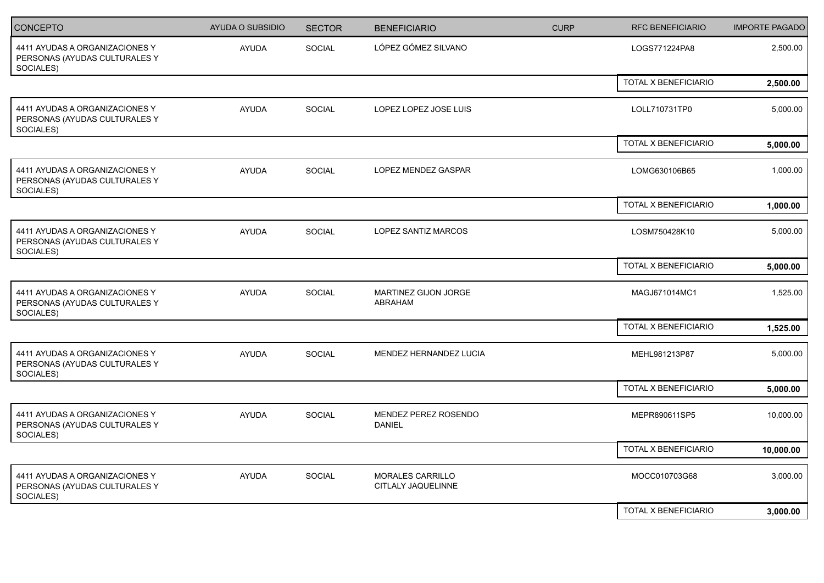| <b>CONCEPTO</b>                                                              | <b>AYUDA O SUBSIDIO</b> | <b>SECTOR</b> | <b>BENEFICIARIO</b>                           | <b>CURP</b> | <b>RFC BENEFICIARIO</b>     | <b>IMPORTE PAGADO</b> |
|------------------------------------------------------------------------------|-------------------------|---------------|-----------------------------------------------|-------------|-----------------------------|-----------------------|
| 4411 AYUDAS A ORGANIZACIONES Y<br>PERSONAS (AYUDAS CULTURALES Y<br>SOCIALES) | AYUDA                   | SOCIAL        | LÓPEZ GÓMEZ SILVANO                           |             | LOGS771224PA8               | 2,500.00              |
|                                                                              |                         |               |                                               |             | TOTAL X BENEFICIARIO        | 2,500.00              |
| 4411 AYUDAS A ORGANIZACIONES Y<br>PERSONAS (AYUDAS CULTURALES Y<br>SOCIALES) | <b>AYUDA</b>            | <b>SOCIAL</b> | LOPEZ LOPEZ JOSE LUIS                         |             | LOLL710731TP0               | 5,000.00              |
|                                                                              |                         |               |                                               |             | TOTAL X BENEFICIARIO        | 5,000.00              |
| 4411 AYUDAS A ORGANIZACIONES Y<br>PERSONAS (AYUDAS CULTURALES Y<br>SOCIALES) | AYUDA                   | <b>SOCIAL</b> | LOPEZ MENDEZ GASPAR                           |             | LOMG630106B65               | 1,000.00              |
|                                                                              |                         |               |                                               |             | <b>TOTAL X BENEFICIARIO</b> | 1,000.00              |
| 4411 AYUDAS A ORGANIZACIONES Y<br>PERSONAS (AYUDAS CULTURALES Y<br>SOCIALES) | <b>AYUDA</b>            | SOCIAL        | LOPEZ SANTIZ MARCOS                           |             | LOSM750428K10               | 5,000.00              |
|                                                                              |                         |               |                                               |             | TOTAL X BENEFICIARIO        | 5,000.00              |
| 4411 AYUDAS A ORGANIZACIONES Y<br>PERSONAS (AYUDAS CULTURALES Y<br>SOCIALES) | AYUDA                   | SOCIAL        | MARTINEZ GIJON JORGE<br>ABRAHAM               |             | MAGJ671014MC1               | 1,525.00              |
|                                                                              |                         |               |                                               |             | TOTAL X BENEFICIARIO        | 1,525.00              |
| 4411 AYUDAS A ORGANIZACIONES Y<br>PERSONAS (AYUDAS CULTURALES Y<br>SOCIALES) | <b>AYUDA</b>            | SOCIAL        | MENDEZ HERNANDEZ LUCIA                        |             | MEHL981213P87               | 5,000.00              |
|                                                                              |                         |               |                                               |             | TOTAL X BENEFICIARIO        | 5,000.00              |
| 4411 AYUDAS A ORGANIZACIONES Y<br>PERSONAS (AYUDAS CULTURALES Y<br>SOCIALES) | <b>AYUDA</b>            | SOCIAL        | MENDEZ PEREZ ROSENDO<br><b>DANIEL</b>         |             | MEPR890611SP5               | 10,000.00             |
|                                                                              |                         |               |                                               |             | TOTAL X BENEFICIARIO        | 10,000.00             |
| 4411 AYUDAS A ORGANIZACIONES Y<br>PERSONAS (AYUDAS CULTURALES Y<br>SOCIALES) | <b>AYUDA</b>            | SOCIAL        | <b>MORALES CARRILLO</b><br>CITLALY JAQUELINNE |             | MOCC010703G68               | 3,000.00              |
|                                                                              |                         |               |                                               |             | TOTAL X BENEFICIARIO        | 3,000.00              |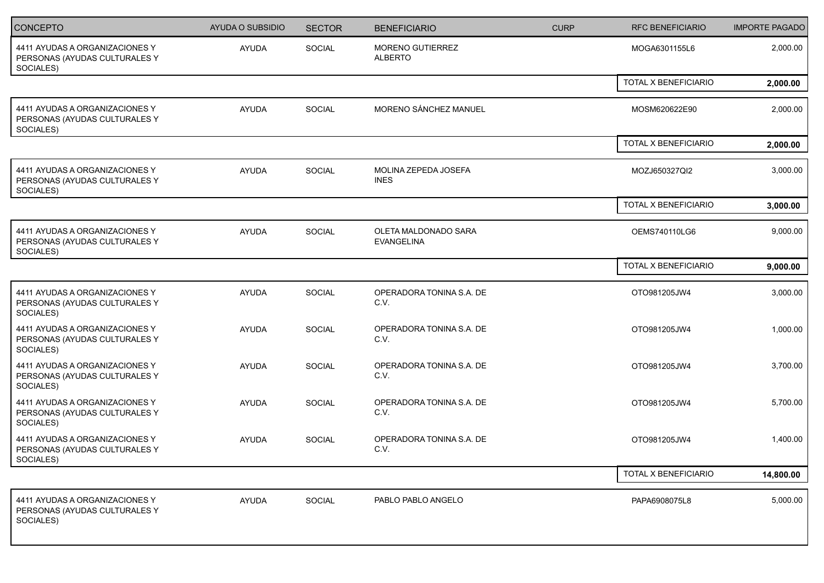| <b>CONCEPTO</b>                                                              | <b>AYUDA O SUBSIDIO</b> | <b>SECTOR</b> | <b>BENEFICIARIO</b>                       | <b>CURP</b> | <b>RFC BENEFICIARIO</b> | <b>IMPORTE PAGADO</b> |
|------------------------------------------------------------------------------|-------------------------|---------------|-------------------------------------------|-------------|-------------------------|-----------------------|
| 4411 AYUDAS A ORGANIZACIONES Y<br>PERSONAS (AYUDAS CULTURALES Y<br>SOCIALES) | AYUDA                   | SOCIAL        | MORENO GUTIERREZ<br><b>ALBERTO</b>        |             | MOGA6301155L6           | 2,000.00              |
|                                                                              |                         |               |                                           |             | TOTAL X BENEFICIARIO    | 2,000.00              |
| 4411 AYUDAS A ORGANIZACIONES Y<br>PERSONAS (AYUDAS CULTURALES Y<br>SOCIALES) | <b>AYUDA</b>            | SOCIAL        | MORENO SÁNCHEZ MANUEL                     |             | MOSM620622E90           | 2,000.00              |
|                                                                              |                         |               |                                           |             | TOTAL X BENEFICIARIO    | 2,000.00              |
| 4411 AYUDAS A ORGANIZACIONES Y<br>PERSONAS (AYUDAS CULTURALES Y<br>SOCIALES) | <b>AYUDA</b>            | SOCIAL        | MOLINA ZEPEDA JOSEFA<br><b>INES</b>       |             | MOZJ650327QI2           | 3,000.00              |
|                                                                              |                         |               |                                           |             | TOTAL X BENEFICIARIO    | 3,000.00              |
| 4411 AYUDAS A ORGANIZACIONES Y<br>PERSONAS (AYUDAS CULTURALES Y<br>SOCIALES) | <b>AYUDA</b>            | SOCIAL        | OLETA MALDONADO SARA<br><b>EVANGELINA</b> |             | OEMS740110LG6           | 9,000.00              |
|                                                                              |                         |               |                                           |             | TOTAL X BENEFICIARIO    | 9,000.00              |
| 4411 AYUDAS A ORGANIZACIONES Y<br>PERSONAS (AYUDAS CULTURALES Y<br>SOCIALES) | <b>AYUDA</b>            | SOCIAL        | OPERADORA TONINA S.A. DE<br>C.V.          |             | OTO981205JW4            | 3,000.00              |
| 4411 AYUDAS A ORGANIZACIONES Y<br>PERSONAS (AYUDAS CULTURALES Y<br>SOCIALES) | <b>AYUDA</b>            | SOCIAL        | OPERADORA TONINA S.A. DE<br>C.V.          |             | OTO981205JW4            | 1,000.00              |
| 4411 AYUDAS A ORGANIZACIONES Y<br>PERSONAS (AYUDAS CULTURALES Y<br>SOCIALES) | <b>AYUDA</b>            | SOCIAL        | OPERADORA TONINA S.A. DE<br>C.V.          |             | OTO981205JW4            | 3,700.00              |
| 4411 AYUDAS A ORGANIZACIONES Y<br>PERSONAS (AYUDAS CULTURALES Y<br>SOCIALES) | AYUDA                   | SOCIAL        | OPERADORA TONINA S.A. DE<br>C.V.          |             | OTO981205JW4            | 5,700.00              |
| 4411 AYUDAS A ORGANIZACIONES Y<br>PERSONAS (AYUDAS CULTURALES Y<br>SOCIALES) | <b>AYUDA</b>            | SOCIAL        | OPERADORA TONINA S.A. DE<br>C.V.          |             | OTO981205JW4            | 1,400.00              |
|                                                                              |                         |               |                                           |             | TOTAL X BENEFICIARIO    | 14,800.00             |
| 4411 AYUDAS A ORGANIZACIONES Y<br>PERSONAS (AYUDAS CULTURALES Y<br>SOCIALES) | <b>AYUDA</b>            | SOCIAL        | PABLO PABLO ANGELO                        |             | PAPA6908075L8           | 5,000.00              |
|                                                                              |                         |               |                                           |             |                         |                       |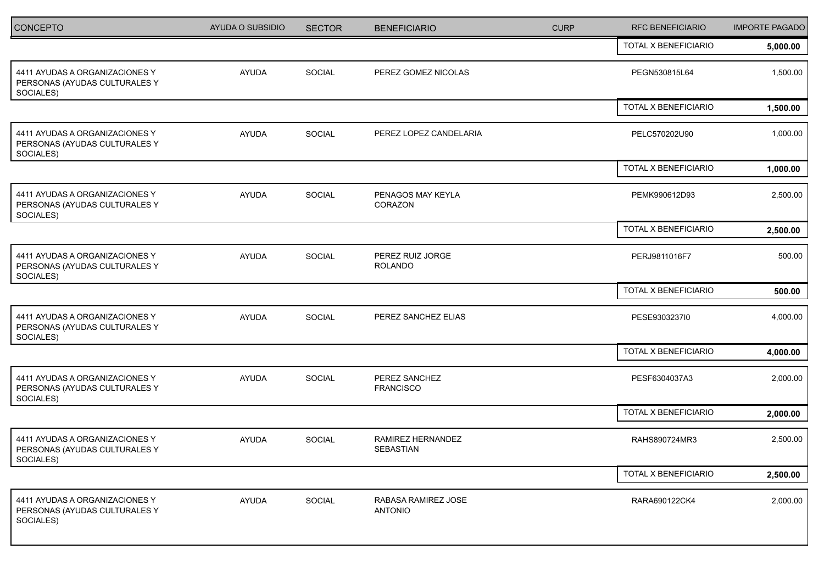| <b>CONCEPTO</b>                                                              | AYUDA O SUBSIDIO | <b>SECTOR</b> | <b>BENEFICIARIO</b>                   | <b>CURP</b> | <b>RFC BENEFICIARIO</b> | <b>IMPORTE PAGADO</b> |
|------------------------------------------------------------------------------|------------------|---------------|---------------------------------------|-------------|-------------------------|-----------------------|
|                                                                              |                  |               |                                       |             | TOTAL X BENEFICIARIO    | 5,000.00              |
| 4411 AYUDAS A ORGANIZACIONES Y<br>PERSONAS (AYUDAS CULTURALES Y<br>SOCIALES) | AYUDA            | <b>SOCIAL</b> | PEREZ GOMEZ NICOLAS                   |             | PEGN530815L64           | 1,500.00              |
|                                                                              |                  |               |                                       |             | TOTAL X BENEFICIARIO    | 1,500.00              |
| 4411 AYUDAS A ORGANIZACIONES Y<br>PERSONAS (AYUDAS CULTURALES Y<br>SOCIALES) | AYUDA            | SOCIAL        | PEREZ LOPEZ CANDELARIA                |             | PELC570202U90           | 1,000.00              |
|                                                                              |                  |               |                                       |             | TOTAL X BENEFICIARIO    | 1,000.00              |
| 4411 AYUDAS A ORGANIZACIONES Y<br>PERSONAS (AYUDAS CULTURALES Y<br>SOCIALES) | AYUDA            | SOCIAL        | PENAGOS MAY KEYLA<br>CORAZON          |             | PEMK990612D93           | 2,500.00              |
|                                                                              |                  |               |                                       |             | TOTAL X BENEFICIARIO    | 2,500.00              |
| 4411 AYUDAS A ORGANIZACIONES Y<br>PERSONAS (AYUDAS CULTURALES Y<br>SOCIALES) | <b>AYUDA</b>     | SOCIAL        | PEREZ RUIZ JORGE<br><b>ROLANDO</b>    |             | PERJ9811016F7           | 500.00                |
|                                                                              |                  |               |                                       |             | TOTAL X BENEFICIARIO    | 500.00                |
| 4411 AYUDAS A ORGANIZACIONES Y<br>PERSONAS (AYUDAS CULTURALES Y<br>SOCIALES) | <b>AYUDA</b>     | <b>SOCIAL</b> | PEREZ SANCHEZ ELIAS                   |             | PESE9303237I0           | 4,000.00              |
|                                                                              |                  |               |                                       |             | TOTAL X BENEFICIARIO    | 4,000.00              |
| 4411 AYUDAS A ORGANIZACIONES Y<br>PERSONAS (AYUDAS CULTURALES Y<br>SOCIALES) | AYUDA            | SOCIAL        | PEREZ SANCHEZ<br><b>FRANCISCO</b>     |             | PESF6304037A3           | 2,000.00              |
|                                                                              |                  |               |                                       |             | TOTAL X BENEFICIARIO    | 2,000.00              |
| 4411 AYUDAS A ORGANIZACIONES Y<br>PERSONAS (AYUDAS CULTURALES Y<br>SOCIALES) | AYUDA            | SOCIAL        | RAMIREZ HERNANDEZ<br>SEBASTIAN        |             | RAHS890724MR3           | 2,500.00              |
|                                                                              |                  |               |                                       |             | TOTAL X BENEFICIARIO    | 2,500.00              |
| 4411 AYUDAS A ORGANIZACIONES Y<br>PERSONAS (AYUDAS CULTURALES Y<br>SOCIALES) | AYUDA            | SOCIAL        | RABASA RAMIREZ JOSE<br><b>ANTONIO</b> |             | RARA690122CK4           | 2,000.00              |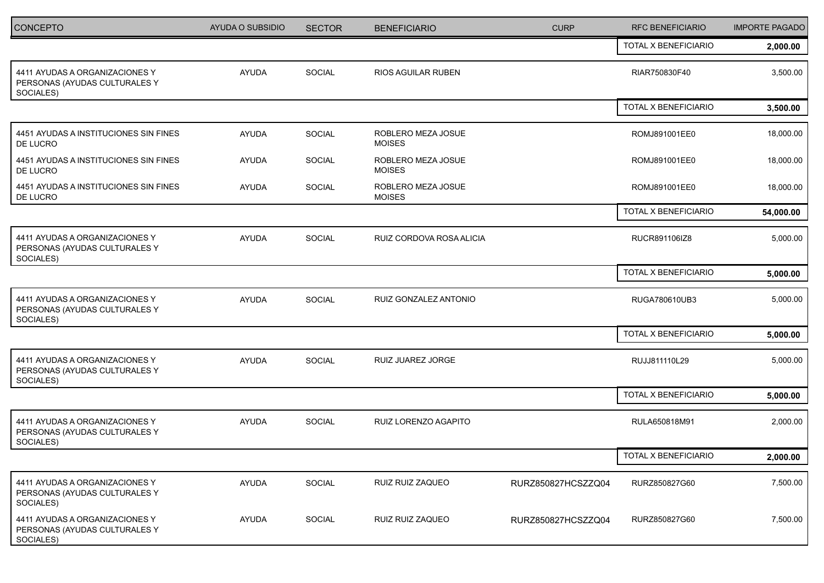| <b>CONCEPTO</b>                                                              | AYUDA O SUBSIDIO | <b>SECTOR</b> | <b>BENEFICIARIO</b>                 | <b>CURP</b>        | <b>RFC BENEFICIARIO</b> | <b>IMPORTE PAGADO</b> |
|------------------------------------------------------------------------------|------------------|---------------|-------------------------------------|--------------------|-------------------------|-----------------------|
|                                                                              |                  |               |                                     |                    | TOTAL X BENEFICIARIO    | 2,000.00              |
| 4411 AYUDAS A ORGANIZACIONES Y<br>PERSONAS (AYUDAS CULTURALES Y<br>SOCIALES) | <b>AYUDA</b>     | SOCIAL        | <b>RIOS AGUILAR RUBEN</b>           |                    | RIAR750830F40           | 3,500.00              |
|                                                                              |                  |               |                                     |                    | TOTAL X BENEFICIARIO    | 3,500.00              |
| 4451 AYUDAS A INSTITUCIONES SIN FINES<br>DE LUCRO                            | <b>AYUDA</b>     | SOCIAL        | ROBLERO MEZA JOSUE<br><b>MOISES</b> |                    | ROMJ891001EE0           | 18,000.00             |
| 4451 AYUDAS A INSTITUCIONES SIN FINES<br>DE LUCRO                            | <b>AYUDA</b>     | SOCIAL        | ROBLERO MEZA JOSUE<br><b>MOISES</b> |                    | ROMJ891001EE0           | 18,000.00             |
| 4451 AYUDAS A INSTITUCIONES SIN FINES<br>DE LUCRO                            | <b>AYUDA</b>     | SOCIAL        | ROBLERO MEZA JOSUE<br><b>MOISES</b> |                    | ROMJ891001EE0           | 18,000.00             |
|                                                                              |                  |               |                                     |                    | TOTAL X BENEFICIARIO    | 54,000.00             |
| 4411 AYUDAS A ORGANIZACIONES Y<br>PERSONAS (AYUDAS CULTURALES Y<br>SOCIALES) | <b>AYUDA</b>     | SOCIAL        | RUIZ CORDOVA ROSA ALICIA            |                    | RUCR891106IZ8           | 5,000.00              |
|                                                                              |                  |               |                                     |                    | TOTAL X BENEFICIARIO    | 5,000.00              |
| 4411 AYUDAS A ORGANIZACIONES Y<br>PERSONAS (AYUDAS CULTURALES Y<br>SOCIALES) | <b>AYUDA</b>     | SOCIAL        | RUIZ GONZALEZ ANTONIO               |                    | RUGA780610UB3           | 5,000.00              |
|                                                                              |                  |               |                                     |                    | TOTAL X BENEFICIARIO    | 5,000.00              |
| 4411 AYUDAS A ORGANIZACIONES Y<br>PERSONAS (AYUDAS CULTURALES Y<br>SOCIALES) | <b>AYUDA</b>     | SOCIAL        | RUIZ JUAREZ JORGE                   |                    | RUJJ811110L29           | 5,000.00              |
|                                                                              |                  |               |                                     |                    | TOTAL X BENEFICIARIO    | 5,000.00              |
| 4411 AYUDAS A ORGANIZACIONES Y<br>PERSONAS (AYUDAS CULTURALES Y<br>SOCIALES) | AYUDA            | SOCIAL        | RUIZ LORENZO AGAPITO                |                    | RULA650818M91           | 2,000.00              |
|                                                                              |                  |               |                                     |                    | TOTAL X BENEFICIARIO    | 2,000.00              |
| 4411 AYUDAS A ORGANIZACIONES Y<br>PERSONAS (AYUDAS CULTURALES Y<br>SOCIALES) | <b>AYUDA</b>     | SOCIAL        | RUIZ RUIZ ZAQUEO                    | RURZ850827HCSZZQ04 | RURZ850827G60           | 7,500.00              |
| 4411 AYUDAS A ORGANIZACIONES Y<br>PERSONAS (AYUDAS CULTURALES Y<br>SOCIALES) | AYUDA            | SOCIAL        | RUIZ RUIZ ZAQUEO                    | RURZ850827HCSZZQ04 | RURZ850827G60           | 7,500.00              |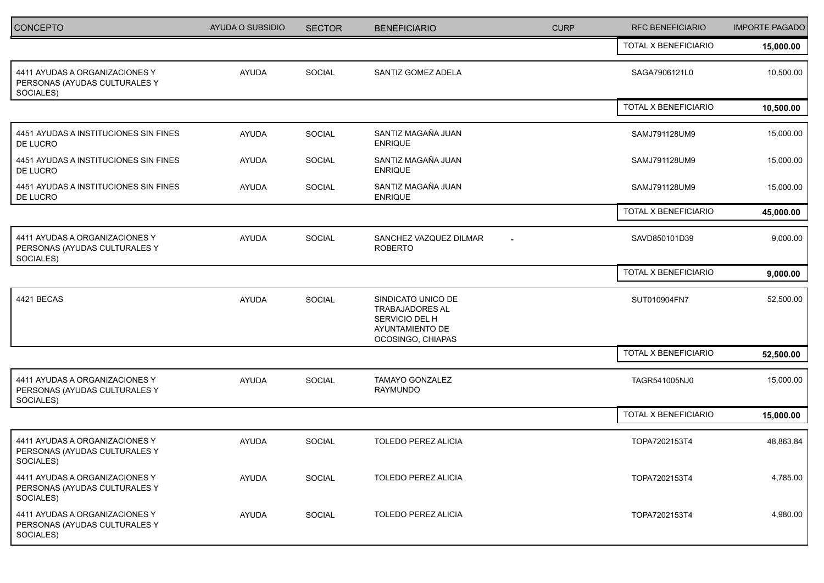| <b>CONCEPTO</b>                                                              | AYUDA O SUBSIDIO | <b>SECTOR</b> | <b>BENEFICIARIO</b>                                                                                    | <b>CURP</b> | <b>RFC BENEFICIARIO</b> | <b>IMPORTE PAGADO</b> |
|------------------------------------------------------------------------------|------------------|---------------|--------------------------------------------------------------------------------------------------------|-------------|-------------------------|-----------------------|
|                                                                              |                  |               |                                                                                                        |             | TOTAL X BENEFICIARIO    | 15,000.00             |
| 4411 AYUDAS A ORGANIZACIONES Y<br>PERSONAS (AYUDAS CULTURALES Y<br>SOCIALES) | AYUDA            | SOCIAL        | SANTIZ GOMEZ ADELA                                                                                     |             | SAGA7906121L0           | 10,500.00             |
|                                                                              |                  |               |                                                                                                        |             | TOTAL X BENEFICIARIO    | 10,500.00             |
| 4451 AYUDAS A INSTITUCIONES SIN FINES<br>DE LUCRO                            | <b>AYUDA</b>     | SOCIAL        | SANTIZ MAGAÑA JUAN<br><b>ENRIQUE</b>                                                                   |             | SAMJ791128UM9           | 15,000.00             |
| 4451 AYUDAS A INSTITUCIONES SIN FINES<br>DE LUCRO                            | <b>AYUDA</b>     | SOCIAL        | SANTIZ MAGAÑA JUAN<br><b>ENRIQUE</b>                                                                   |             | SAMJ791128UM9           | 15,000.00             |
| 4451 AYUDAS A INSTITUCIONES SIN FINES<br>DE LUCRO                            | <b>AYUDA</b>     | SOCIAL        | SANTIZ MAGAÑA JUAN<br><b>ENRIQUE</b>                                                                   |             | SAMJ791128UM9           | 15,000.00             |
|                                                                              |                  |               |                                                                                                        |             | TOTAL X BENEFICIARIO    | 45,000.00             |
| 4411 AYUDAS A ORGANIZACIONES Y<br>PERSONAS (AYUDAS CULTURALES Y<br>SOCIALES) | <b>AYUDA</b>     | <b>SOCIAL</b> | SANCHEZ VAZQUEZ DILMAR<br><b>ROBERTO</b>                                                               |             | SAVD850101D39           | 9,000.00              |
|                                                                              |                  |               |                                                                                                        |             | TOTAL X BENEFICIARIO    | 9,000.00              |
| 4421 BECAS                                                                   | <b>AYUDA</b>     | SOCIAL        | SINDICATO UNICO DE<br><b>TRABAJADORES AL</b><br>SERVICIO DEL H<br>AYUNTAMIENTO DE<br>OCOSINGO, CHIAPAS |             | SUT010904FN7            | 52,500.00             |
|                                                                              |                  |               |                                                                                                        |             | TOTAL X BENEFICIARIO    | 52,500.00             |
| 4411 AYUDAS A ORGANIZACIONES Y<br>PERSONAS (AYUDAS CULTURALES Y<br>SOCIALES) | <b>AYUDA</b>     | <b>SOCIAL</b> | TAMAYO GONZALEZ<br>RAYMUNDO                                                                            |             | TAGR541005NJ0           | 15,000.00             |
|                                                                              |                  |               |                                                                                                        |             | TOTAL X BENEFICIARIO    | 15,000.00             |
| 4411 AYUDAS A ORGANIZACIONES Y<br>PERSONAS (AYUDAS CULTURALES Y<br>SOCIALES) | <b>AYUDA</b>     | SOCIAL        | TOLEDO PEREZ ALICIA                                                                                    |             | TOPA7202153T4           | 48,863.84             |
| 4411 AYUDAS A ORGANIZACIONES Y<br>PERSONAS (AYUDAS CULTURALES Y<br>SOCIALES) | AYUDA            | SOCIAL        | TOLEDO PEREZ ALICIA                                                                                    |             | TOPA7202153T4           | 4,785.00              |
| 4411 AYUDAS A ORGANIZACIONES Y<br>PERSONAS (AYUDAS CULTURALES Y<br>SOCIALES) | AYUDA            | SOCIAL        | TOLEDO PEREZ ALICIA                                                                                    |             | TOPA7202153T4           | 4,980.00              |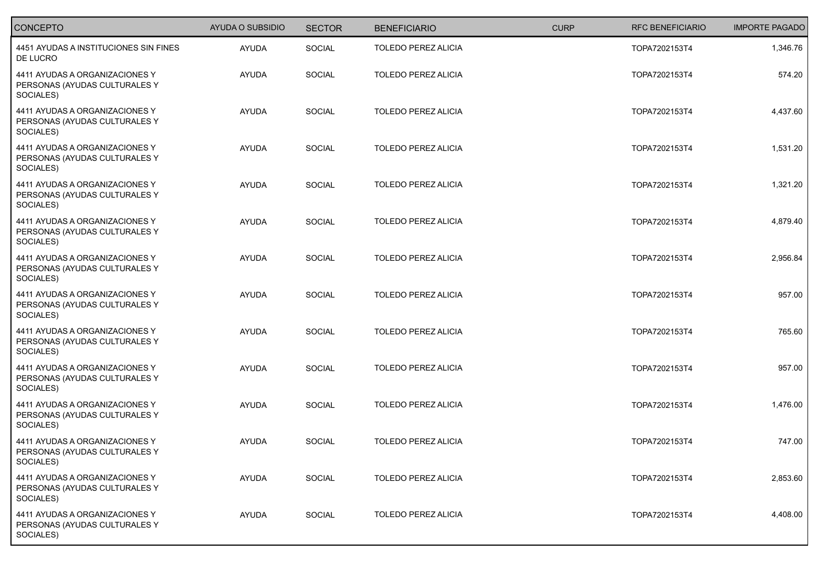| CONCEPTO                                                                     | AYUDA O SUBSIDIO | <b>SECTOR</b> | <b>BENEFICIARIO</b>        | <b>CURP</b> | <b>RFC BENEFICIARIO</b> | <b>IMPORTE PAGADO</b> |
|------------------------------------------------------------------------------|------------------|---------------|----------------------------|-------------|-------------------------|-----------------------|
| 4451 AYUDAS A INSTITUCIONES SIN FINES<br>DE LUCRO                            | <b>AYUDA</b>     | SOCIAL        | TOLEDO PEREZ ALICIA        |             | TOPA7202153T4           | 1,346.76              |
| 4411 AYUDAS A ORGANIZACIONES Y<br>PERSONAS (AYUDAS CULTURALES Y<br>SOCIALES) | <b>AYUDA</b>     | SOCIAL        | TOLEDO PEREZ ALICIA        |             | TOPA7202153T4           | 574.20                |
| 4411 AYUDAS A ORGANIZACIONES Y<br>PERSONAS (AYUDAS CULTURALES Y<br>SOCIALES) | <b>AYUDA</b>     | SOCIAL        | <b>TOLEDO PEREZ ALICIA</b> |             | TOPA7202153T4           | 4,437.60              |
| 4411 AYUDAS A ORGANIZACIONES Y<br>PERSONAS (AYUDAS CULTURALES Y<br>SOCIALES) | <b>AYUDA</b>     | SOCIAL        | <b>TOLEDO PEREZ ALICIA</b> |             | TOPA7202153T4           | 1,531.20              |
| 4411 AYUDAS A ORGANIZACIONES Y<br>PERSONAS (AYUDAS CULTURALES Y<br>SOCIALES) | <b>AYUDA</b>     | SOCIAL        | <b>TOLEDO PEREZ ALICIA</b> |             | TOPA7202153T4           | 1,321.20              |
| 4411 AYUDAS A ORGANIZACIONES Y<br>PERSONAS (AYUDAS CULTURALES Y<br>SOCIALES) | <b>AYUDA</b>     | SOCIAL        | TOLEDO PEREZ ALICIA        |             | TOPA7202153T4           | 4,879.40              |
| 4411 AYUDAS A ORGANIZACIONES Y<br>PERSONAS (AYUDAS CULTURALES Y<br>SOCIALES) | <b>AYUDA</b>     | SOCIAL        | <b>TOLEDO PEREZ ALICIA</b> |             | TOPA7202153T4           | 2,956.84              |
| 4411 AYUDAS A ORGANIZACIONES Y<br>PERSONAS (AYUDAS CULTURALES Y<br>SOCIALES) | <b>AYUDA</b>     | SOCIAL        | TOLEDO PEREZ ALICIA        |             | TOPA7202153T4           | 957.00                |
| 4411 AYUDAS A ORGANIZACIONES Y<br>PERSONAS (AYUDAS CULTURALES Y<br>SOCIALES) | <b>AYUDA</b>     | SOCIAL        | <b>TOLEDO PEREZ ALICIA</b> |             | TOPA7202153T4           | 765.60                |
| 4411 AYUDAS A ORGANIZACIONES Y<br>PERSONAS (AYUDAS CULTURALES Y<br>SOCIALES) | <b>AYUDA</b>     | <b>SOCIAL</b> | TOLEDO PEREZ ALICIA        |             | TOPA7202153T4           | 957.00                |
| 4411 AYUDAS A ORGANIZACIONES Y<br>PERSONAS (AYUDAS CULTURALES Y<br>SOCIALES) | <b>AYUDA</b>     | SOCIAL        | <b>TOLEDO PEREZ ALICIA</b> |             | TOPA7202153T4           | 1,476.00              |
| 4411 AYUDAS A ORGANIZACIONES Y<br>PERSONAS (AYUDAS CULTURALES Y<br>SOCIALES) | <b>AYUDA</b>     | <b>SOCIAL</b> | <b>TOLEDO PEREZ ALICIA</b> |             | TOPA7202153T4           | 747.00                |
| 4411 AYUDAS A ORGANIZACIONES Y<br>PERSONAS (AYUDAS CULTURALES Y<br>SOCIALES) | <b>AYUDA</b>     | SOCIAL        | <b>TOLEDO PEREZ ALICIA</b> |             | TOPA7202153T4           | 2,853.60              |
| 4411 AYUDAS A ORGANIZACIONES Y<br>PERSONAS (AYUDAS CULTURALES Y<br>SOCIALES) | AYUDA            | <b>SOCIAL</b> | TOLEDO PEREZ ALICIA        |             | TOPA7202153T4           | 4,408.00              |
|                                                                              |                  |               |                            |             |                         |                       |